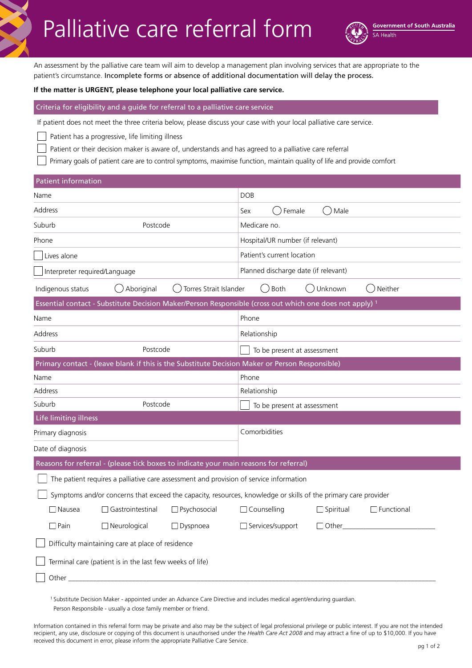# Palliative care referral form

An assessment by the palliative care team will aim to develop a management plan involving services that are appropriate to the patient's circumstance. Incomplete forms or absence of additional documentation will delay the process.

#### **If the matter is URGENT, please telephone your local palliative care service.**

#### Criteria for eligibility and a guide for referral to a palliative care service

If patient does not meet the three criteria below, please discuss your case with your local palliative care service.

Patient has a progressive, life limiting illness

Patient or their decision maker is aware of, understands and has agreed to a palliative care referral

Primary goals of patient care are to control symptoms, maximise function, maintain quality of life and provide comfort

| <b>Patient information</b>                                                                                         |                                                             |  |  |
|--------------------------------------------------------------------------------------------------------------------|-------------------------------------------------------------|--|--|
| Name                                                                                                               | <b>DOB</b>                                                  |  |  |
| Address                                                                                                            | Female<br>Male<br>Sex                                       |  |  |
| Suburb<br>Postcode                                                                                                 | Medicare no.                                                |  |  |
| Phone                                                                                                              | Hospital/UR number (if relevant)                            |  |  |
| Lives alone                                                                                                        | Patient's current location                                  |  |  |
| Interpreter required/Language                                                                                      | Planned discharge date (if relevant)                        |  |  |
| () Aboriginal<br>Torres Strait Islander<br>Indigenous status                                                       | $\bigcirc$ Both<br>◯ Unknown<br>Neither                     |  |  |
| Essential contact - Substitute Decision Maker/Person Responsible (cross out which one does not apply) <sup>1</sup> |                                                             |  |  |
| Name                                                                                                               | Phone                                                       |  |  |
| Address                                                                                                            | Relationship                                                |  |  |
| Suburb<br>Postcode                                                                                                 | To be present at assessment                                 |  |  |
| Primary contact - (leave blank if this is the Substitute Decision Maker or Person Responsible)                     |                                                             |  |  |
| Phone<br>Name                                                                                                      |                                                             |  |  |
| Relationship<br>Address                                                                                            |                                                             |  |  |
| Suburb<br>Postcode<br>To be present at assessment                                                                  |                                                             |  |  |
| Life limiting illness                                                                                              |                                                             |  |  |
| Primary diagnosis                                                                                                  | Comorbidities                                               |  |  |
| Date of diagnosis                                                                                                  |                                                             |  |  |
| Reasons for referral - (please tick boxes to indicate your main reasons for referral)                              |                                                             |  |  |
| The patient requires a palliative care assessment and provision of service information                             |                                                             |  |  |
| Symptoms and/or concerns that exceed the capacity, resources, knowledge or skills of the primary care provider     |                                                             |  |  |
| $\Box$ Nausea<br>Gastrointestinal<br>$\Box$ Psychosocial                                                           | $\Box$ Functional<br>$\Box$ Counselling<br>$\Box$ Spiritual |  |  |
| $\Box$ Pain<br>$\Box$ Neurological<br>$\Box$ Dyspnoea                                                              | $\Box$ Services/support<br>$\Box$ Other                     |  |  |
| Difficulty maintaining care at place of residence                                                                  |                                                             |  |  |
| Terminal care (patient is in the last few weeks of life)                                                           |                                                             |  |  |
| Other_                                                                                                             |                                                             |  |  |

1 Substitute Decision Maker - appointed under an Advance Care Directive and includes medical agent/enduring guardian. Person Responsibile - usually a close family member or friend.

Information contained in this referral form may be private and also may be the subject of legal professional privilege or public interest. If you are not the intended recipient, any use, disclosure or copying of this document is unauthorised under the *Health Care Act 2008* and may attract a fine of up to \$10,000. If you have received this document in error, please inform the appropriate Palliative Care Service.